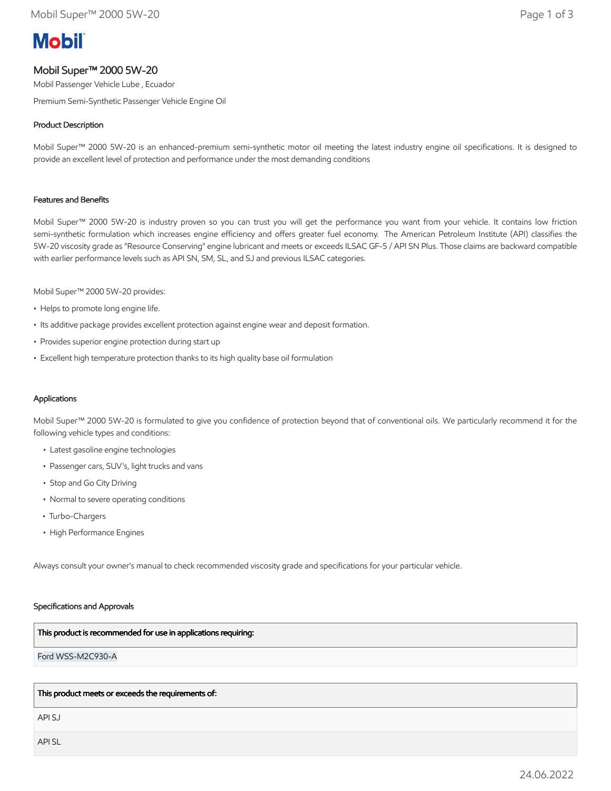# **Mobil**

# Mobil Super™ 2000 5W-20

Mobil Passenger Vehicle Lube , Ecuador

Premium Semi-Synthetic Passenger Vehicle Engine Oil

# Product Description

Mobil Super™ 2000 5W-20 is an enhanced-premium semi-synthetic motor oil meeting the latest industry engine oil specifications. It is designed to provide an excellent level of protection and performance under the most demanding conditions

## Features and Benefits

Mobil Super™ 2000 5W-20 is industry proven so you can trust you will get the performance you want from your vehicle. It contains low friction semi-synthetic formulation which increases engine efficiency and offers greater fuel economy. The American Petroleum Institute (API) classifies the 5W-20 viscosity grade as "Resource Conserving" engine lubricant and meets or exceeds ILSAC GF-5 / API SN Plus. Those claims are backward compatible with earlier performance levels such as API SN, SM, SL, and SJ and previous ILSAC categories.

Mobil Super™ 2000 5W-20 provides:

- Helps to promote long engine life.
- Its additive package provides excellent protection against engine wear and deposit formation.
- Provides superior engine protection during start up
- Excellent high temperature protection thanks to its high quality base oil formulation

## Applications

Mobil Super™ 2000 5W-20 is formulated to give you confidence of protection beyond that of conventional oils. We particularly recommend it for the following vehicle types and conditions:

- Latest gasoline engine technologies
- Passenger cars, SUV's, light trucks and vans
- Stop and Go City Driving
- Normal to severe operating conditions
- Turbo-Chargers
- High Performance Engines

Always consult your owner's manual to check recommended viscosity grade and specifications for your particular vehicle.

#### Specifications and Approvals

#### This product is recommended for use in applications requiring:

Ford WSS-M2C930-A

This product meets or exceeds the requirements of:

API SJ

API SL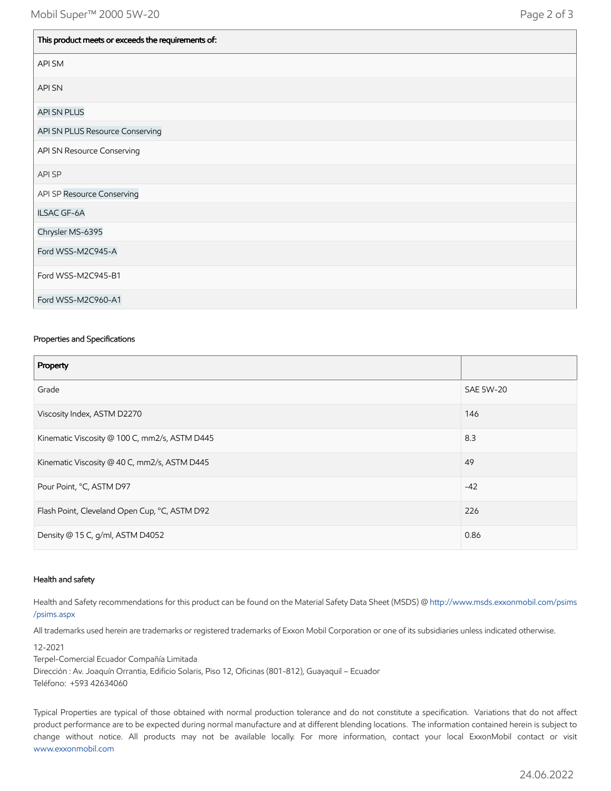| This product meets or exceeds the requirements of: |
|----------------------------------------------------|
| API SM                                             |
| <b>API SN</b>                                      |
| <b>API SN PLUS</b>                                 |
| API SN PLUS Resource Conserving                    |
| API SN Resource Conserving                         |
| API SP                                             |
| API SP Resource Conserving                         |
| ILSAC GF-6A                                        |
| Chrysler MS-6395                                   |
| Ford WSS-M2C945-A                                  |
| Ford WSS-M2C945-B1                                 |
| Ford WSS-M2C960-A1                                 |

## Properties and Specifications

| Property                                      |                  |
|-----------------------------------------------|------------------|
| Grade                                         | <b>SAE 5W-20</b> |
| Viscosity Index, ASTM D2270                   | 146              |
| Kinematic Viscosity @ 100 C, mm2/s, ASTM D445 | 8.3              |
| Kinematic Viscosity @ 40 C, mm2/s, ASTM D445  | 49               |
| Pour Point, °C, ASTM D97                      | $-42$            |
| Flash Point, Cleveland Open Cup, °C, ASTM D92 | 226              |
| Density @ 15 C, g/ml, ASTM D4052              | 0.86             |

#### Health and safety

Health and Safety recommendations for this product can be found on the Material Safety Data Sheet (MSDS) @ [http://www.msds.exxonmobil.com/psims](http://www.msds.exxonmobil.com/psims/psims.aspx) /psims.aspx

All trademarks used herein are trademarks or registered trademarks of Exxon Mobil Corporation or one of its subsidiaries unless indicated otherwise.

12-2021

Terpel-Comercial Ecuador Compañía Limitada Dirección : Av. Joaquín Orrantia, Edificio Solaris, Piso 12, Oficinas (801-812), Guayaquil – Ecuador Teléfono: +593 42634060

Typical Properties are typical of those obtained with normal production tolerance and do not constitute a specification. Variations that do not affect product performance are to be expected during normal manufacture and at different blending locations. The information contained herein is subject to change without notice. All products may not be available locally. For more information, contact your local ExxonMobil contact or visit [www.exxonmobil.com](http://www.exxonmobil.com/)